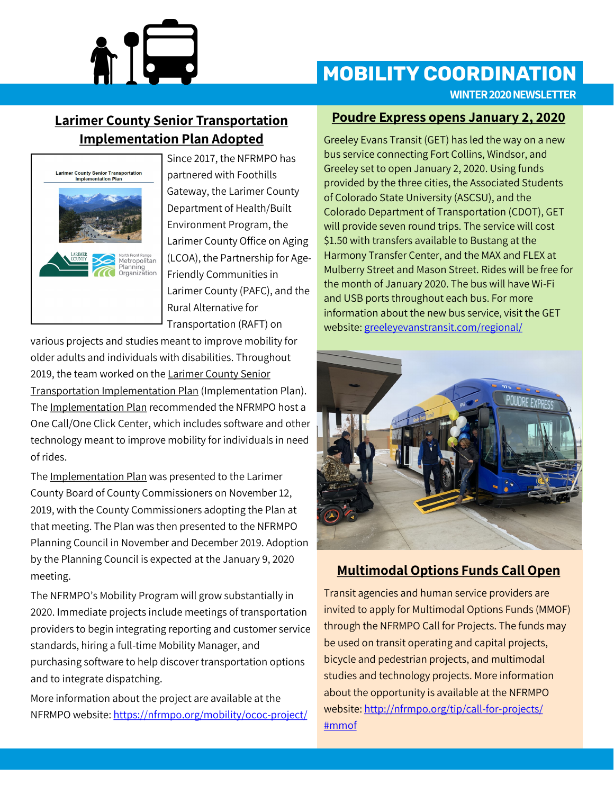

# **MOBILITY COORDINATION**

**WINTER 2020 NEWSLETTER**

## **Larimer County Senior Transportation Implementation Plan Adopted**



Since 2017, the NFRMPO has partnered with Foothills Gateway, the Larimer County Department of Health/Built Environment Program, the Larimer County Office on Aging (LCOA), the Partnership for Age-Friendly Communities in Larimer County (PAFC), and the Rural Alternative for Transportation (RAFT) on

various projects and studies meant to improve mobility for older adults and individuals with disabilities. Throughout 2019, the team worked on the Larimer County Senior Transportation Implementation Plan (Implementation Plan). The Implementation Plan recommended the NFRMPO host a One Call/One Click Center, which includes software and other technology meant to improve mobility for individuals in need of rides.

The Implementation Plan was presented to the Larimer County Board of County Commissioners on November 12, 2019, with the County Commissioners adopting the Plan at that meeting. The Plan was then presented to the NFRMPO Planning Council in November and December 2019. Adoption by the Planning Council is expected at the January 9, 2020 meeting.

The NFRMPO's Mobility Program will grow substantially in 2020. Immediate projects include meetings of transportation providers to begin integrating reporting and customer service standards, hiring a full-time Mobility Manager, and purchasing software to help discover transportation options and to integrate dispatching.

More information about the project are available at the NFRMPO website: [https://nfrmpo.org/mobility/ococ](https://nfrmpo.org/mobility/ococ-project/)-project/

#### **Poudre Express opens January 2, 2020**

Greeley Evans Transit (GET) has led the way on a new bus service connecting Fort Collins, Windsor, and Greeley set to open January 2, 2020. Using funds provided by the three cities, the Associated Students of Colorado State University (ASCSU), and the Colorado Department of Transportation (CDOT), GET will provide seven round trips. The service will cost \$1.50 with transfers available to Bustang at the Harmony Transfer Center, and the MAX and FLEX at Mulberry Street and Mason Street. Rides will be free for the month of January 2020. The bus will have Wi-Fi and USB ports throughout each bus. For more information about the new bus service, visit the GET website: [greeleyevanstransit.com/regional/](https://greeleyevanstransit.com/regional/)



### **Multimodal Options Funds Call Open**

Transit agencies and human service providers are invited to apply for Multimodal Options Funds (MMOF) through the NFRMPO Call for Projects. The funds may be used on transit operating and capital projects, bicycle and pedestrian projects, and multimodal studies and technology projects. More information about the opportunity is available at the NFRMPO website: [http://nfrmpo.org/tip/call](http://nfrmpo.org/tip/call-for-projects/#mmof)-for-projects/ [#mmof](http://nfrmpo.org/tip/call-for-projects/#mmof)